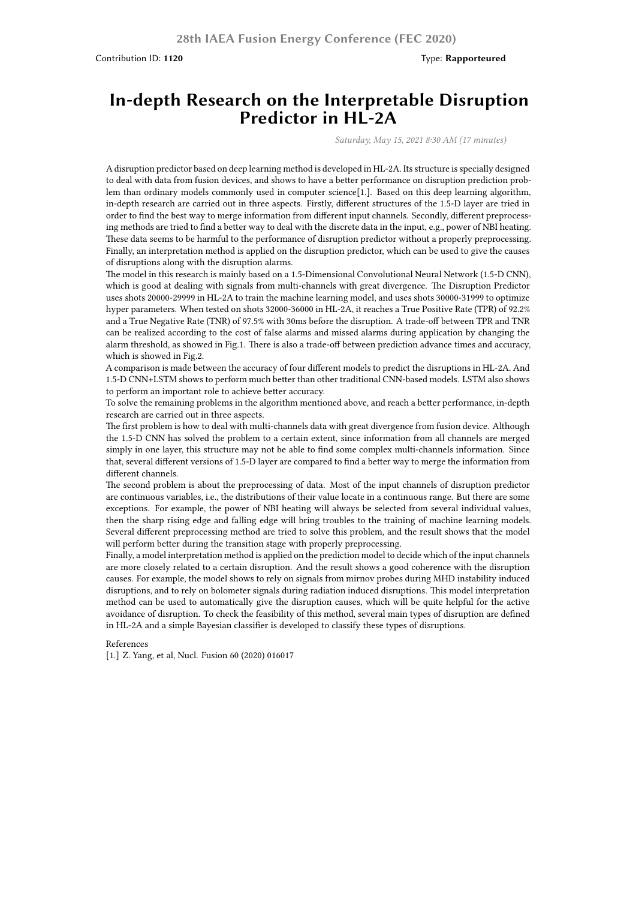Contribution ID: **1120** Type: **Rapporteured**

## **In-depth Research on the Interpretable Disruption Predictor in HL-2A**

*Saturday, May 15, 2021 8:30 AM (17 minutes)*

A disruption predictor based on deep learning method is developed in HL-2A. Its structure is specially designed to deal with data from fusion devices, and shows to have a better performance on disruption prediction problem than ordinary models commonly used in computer science[1.]. Based on this deep learning algorithm, in-depth research are carried out in three aspects. Firstly, different structures of the 1.5-D layer are tried in order to find the best way to merge information from different input channels. Secondly, different preprocessing methods are tried to find a better way to deal with the discrete data in the input, e.g., power of NBI heating. These data seems to be harmful to the performance of disruption predictor without a properly preprocessing. Finally, an interpretation method is applied on the disruption predictor, which can be used to give the causes of disruptions along with the disruption alarms.

The model in this research is mainly based on a 1.5-Dimensional Convolutional Neural Network (1.5-D CNN), which is good at dealing with signals from multi-channels with great divergence. The Disruption Predictor uses shots 20000-29999 in HL-2A to train the machine learning model, and uses shots 30000-31999 to optimize hyper parameters. When tested on shots 32000-36000 in HL-2A, it reaches a True Positive Rate (TPR) of 92.2% and a True Negative Rate (TNR) of 97.5% with 30ms before the disruption. A trade-off between TPR and TNR can be realized according to the cost of false alarms and missed alarms during application by changing the alarm threshold, as showed in Fig.1. There is also a trade-off between prediction advance times and accuracy, which is showed in Fig.2.

A comparison is made between the accuracy of four different models to predict the disruptions in HL-2A. And 1.5-D CNN+LSTM shows to perform much better than other traditional CNN-based models. LSTM also shows to perform an important role to achieve better accuracy.

To solve the remaining problems in the algorithm mentioned above, and reach a better performance, in-depth research are carried out in three aspects.

The first problem is how to deal with multi-channels data with great divergence from fusion device. Although the 1.5-D CNN has solved the problem to a certain extent, since information from all channels are merged simply in one layer, this structure may not be able to find some complex multi-channels information. Since that, several different versions of 1.5-D layer are compared to find a better way to merge the information from different channels.

The second problem is about the preprocessing of data. Most of the input channels of disruption predictor are continuous variables, i.e., the distributions of their value locate in a continuous range. But there are some exceptions. For example, the power of NBI heating will always be selected from several individual values, then the sharp rising edge and falling edge will bring troubles to the training of machine learning models. Several different preprocessing method are tried to solve this problem, and the result shows that the model will perform better during the transition stage with properly preprocessing.

Finally, a model interpretation method is applied on the prediction model to decide which of the input channels are more closely related to a certain disruption. And the result shows a good coherence with the disruption causes. For example, the model shows to rely on signals from mirnov probes during MHD instability induced disruptions, and to rely on bolometer signals during radiation induced disruptions. This model interpretation method can be used to automatically give the disruption causes, which will be quite helpful for the active avoidance of disruption. To check the feasibility of this method, several main types of disruption are defined in HL-2A and a simple Bayesian classifier is developed to classify these types of disruptions.

## References

[1.] Z. Yang, et al, Nucl. Fusion 60 (2020) 016017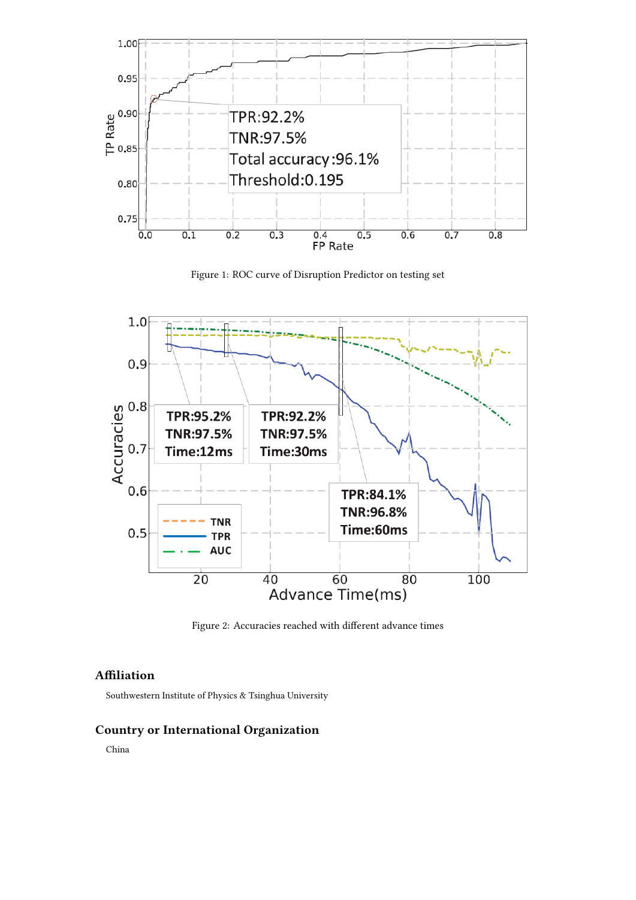





Figure 2: Accuracies reached with different advance times

## **Affiliation**

Southwestern Institute of Physics & Tsinghua University

## **Country or International Organization**

China